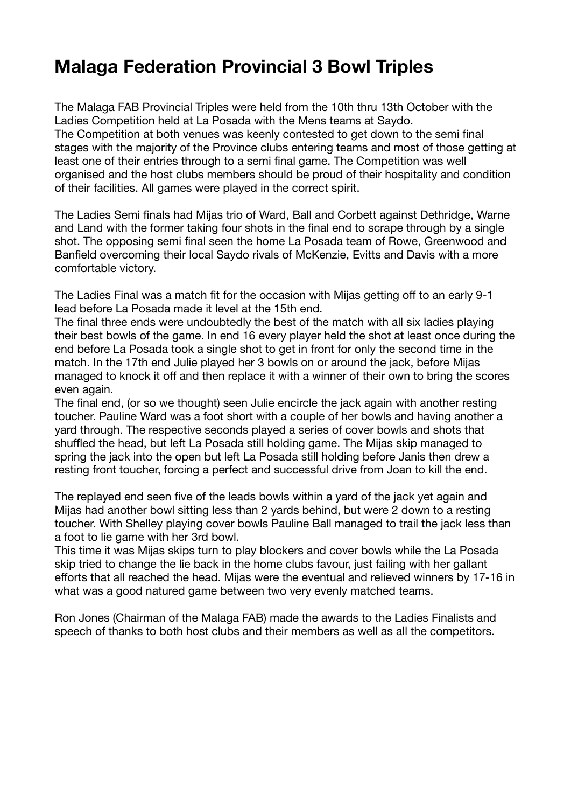## **Malaga Federation Provincial 3 Bowl Triples**

The Malaga FAB Provincial Triples were held from the 10th thru 13th October with the Ladies Competition held at La Posada with the Mens teams at Saydo. The Competition at both venues was keenly contested to get down to the semi final stages with the majority of the Province clubs entering teams and most of those getting at least one of their entries through to a semi final game. The Competition was well organised and the host clubs members should be proud of their hospitality and condition of their facilities. All games were played in the correct spirit.

The Ladies Semi finals had Mijas trio of Ward, Ball and Corbett against Dethridge, Warne and Land with the former taking four shots in the final end to scrape through by a single shot. The opposing semi final seen the home La Posada team of Rowe, Greenwood and Banfield overcoming their local Saydo rivals of McKenzie, Evitts and Davis with a more comfortable victory.

The Ladies Final was a match fit for the occasion with Mijas getting off to an early 9-1 lead before La Posada made it level at the 15th end.

The final three ends were undoubtedly the best of the match with all six ladies playing their best bowls of the game. In end 16 every player held the shot at least once during the end before La Posada took a single shot to get in front for only the second time in the match. In the 17th end Julie played her 3 bowls on or around the jack, before Mijas managed to knock it off and then replace it with a winner of their own to bring the scores even again.

The final end, (or so we thought) seen Julie encircle the jack again with another resting toucher. Pauline Ward was a foot short with a couple of her bowls and having another a yard through. The respective seconds played a series of cover bowls and shots that shuffled the head, but left La Posada still holding game. The Mijas skip managed to spring the jack into the open but left La Posada still holding before Janis then drew a resting front toucher, forcing a perfect and successful drive from Joan to kill the end.

The replayed end seen five of the leads bowls within a yard of the jack yet again and Mijas had another bowl sitting less than 2 yards behind, but were 2 down to a resting toucher. With Shelley playing cover bowls Pauline Ball managed to trail the jack less than a foot to lie game with her 3rd bowl.

This time it was Mijas skips turn to play blockers and cover bowls while the La Posada skip tried to change the lie back in the home clubs favour, just failing with her gallant efforts that all reached the head. Mijas were the eventual and relieved winners by 17-16 in what was a good natured game between two very evenly matched teams.

Ron Jones (Chairman of the Malaga FAB) made the awards to the Ladies Finalists and speech of thanks to both host clubs and their members as well as all the competitors.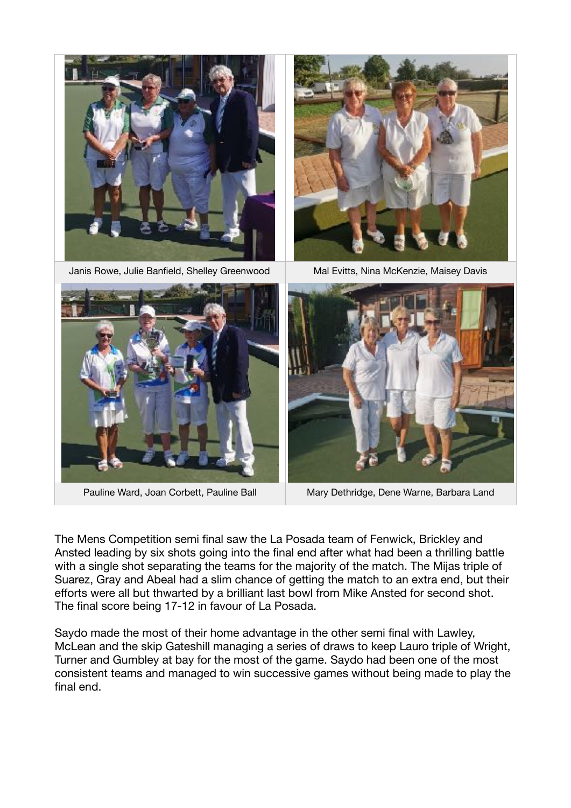

Pauline Ward, Joan Corbett, Pauline Ball Mary Dethridge, Dene Warne, Barbara Land

The Mens Competition semi final saw the La Posada team of Fenwick, Brickley and Ansted leading by six shots going into the final end after what had been a thrilling battle with a single shot separating the teams for the majority of the match. The Mijas triple of Suarez, Gray and Abeal had a slim chance of getting the match to an extra end, but their efforts were all but thwarted by a brilliant last bowl from Mike Ansted for second shot. The final score being 17-12 in favour of La Posada.

Saydo made the most of their home advantage in the other semi final with Lawley, McLean and the skip Gateshill managing a series of draws to keep Lauro triple of Wright, Turner and Gumbley at bay for the most of the game. Saydo had been one of the most consistent teams and managed to win successive games without being made to play the final end.